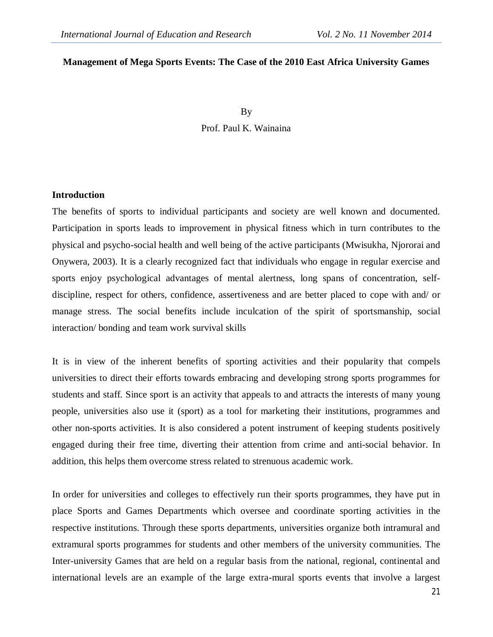## **Management of Mega Sports Events: The Case of the 2010 East Africa University Games**

By Prof. Paul K. Wainaina

#### **Introduction**

The benefits of sports to individual participants and society are well known and documented. Participation in sports leads to improvement in physical fitness which in turn contributes to the physical and psycho-social health and well being of the active participants (Mwisukha, Njororai and Onywera, 2003). It is a clearly recognized fact that individuals who engage in regular exercise and sports enjoy psychological advantages of mental alertness, long spans of concentration, selfdiscipline, respect for others, confidence, assertiveness and are better placed to cope with and/ or manage stress. The social benefits include inculcation of the spirit of sportsmanship, social interaction/ bonding and team work survival skills

It is in view of the inherent benefits of sporting activities and their popularity that compels universities to direct their efforts towards embracing and developing strong sports programmes for students and staff. Since sport is an activity that appeals to and attracts the interests of many young people, universities also use it (sport) as a tool for marketing their institutions, programmes and other non-sports activities. It is also considered a potent instrument of keeping students positively engaged during their free time, diverting their attention from crime and anti-social behavior. In addition, this helps them overcome stress related to strenuous academic work.

In order for universities and colleges to effectively run their sports programmes, they have put in place Sports and Games Departments which oversee and coordinate sporting activities in the respective institutions. Through these sports departments, universities organize both intramural and extramural sports programmes for students and other members of the university communities. The Inter-university Games that are held on a regular basis from the national, regional, continental and international levels are an example of the large extra-mural sports events that involve a largest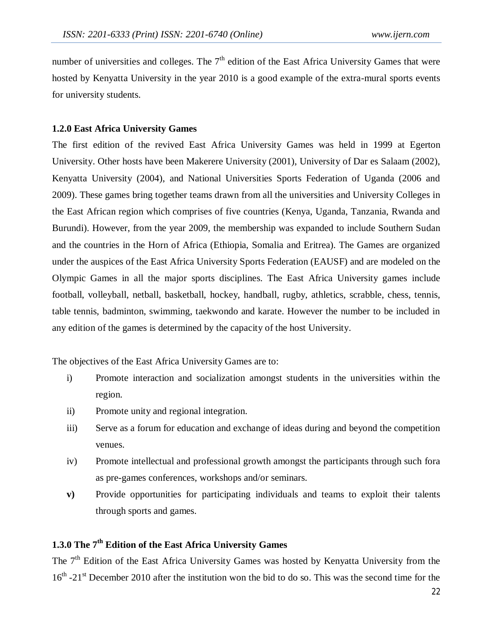number of universities and colleges. The  $7<sup>th</sup>$  edition of the East Africa University Games that were hosted by Kenyatta University in the year 2010 is a good example of the extra-mural sports events for university students.

## **1.2.0 East Africa University Games**

The first edition of the revived East Africa University Games was held in 1999 at Egerton University. Other hosts have been Makerere University (2001), University of Dar es Salaam (2002), Kenyatta University (2004), and National Universities Sports Federation of Uganda (2006 and 2009). These games bring together teams drawn from all the universities and University Colleges in the East African region which comprises of five countries (Kenya, Uganda, Tanzania, Rwanda and Burundi). However, from the year 2009, the membership was expanded to include Southern Sudan and the countries in the Horn of Africa (Ethiopia, Somalia and Eritrea). The Games are organized under the auspices of the East Africa University Sports Federation (EAUSF) and are modeled on the Olympic Games in all the major sports disciplines. The East Africa University games include football, volleyball, netball, basketball, hockey, handball, rugby, athletics, scrabble, chess, tennis, table tennis, badminton, swimming, taekwondo and karate. However the number to be included in any edition of the games is determined by the capacity of the host University.

The objectives of the East Africa University Games are to:

- i) Promote interaction and socialization amongst students in the universities within the region.
- ii) Promote unity and regional integration.
- iii) Serve as a forum for education and exchange of ideas during and beyond the competition venues.
- iv) Promote intellectual and professional growth amongst the participants through such fora as pre-games conferences, workshops and/or seminars.
- **v)** Provide opportunities for participating individuals and teams to exploit their talents through sports and games.

# **1.3.0 The 7th Edition of the East Africa University Games**

The 7<sup>th</sup> Edition of the East Africa University Games was hosted by Kenyatta University from the 16<sup>th</sup> -21<sup>st</sup> December 2010 after the institution won the bid to do so. This was the second time for the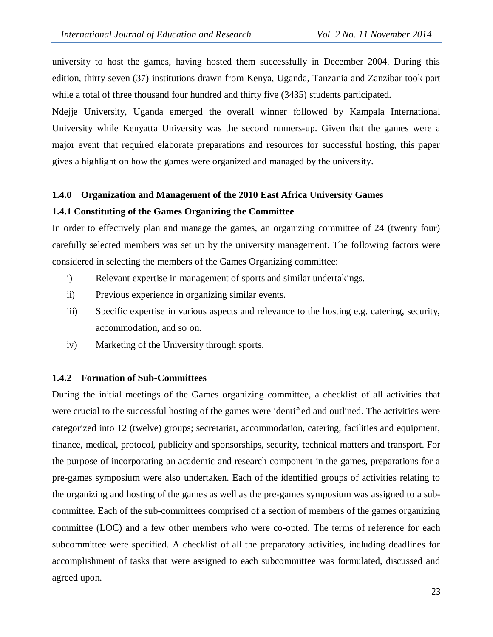university to host the games, having hosted them successfully in December 2004. During this edition, thirty seven (37) institutions drawn from Kenya, Uganda, Tanzania and Zanzibar took part while a total of three thousand four hundred and thirty five (3435) students participated.

Ndejje University, Uganda emerged the overall winner followed by Kampala International University while Kenyatta University was the second runners-up. Given that the games were a major event that required elaborate preparations and resources for successful hosting, this paper gives a highlight on how the games were organized and managed by the university.

#### **1.4.0 Organization and Management of the 2010 East Africa University Games**

#### **1.4.1 Constituting of the Games Organizing the Committee**

In order to effectively plan and manage the games, an organizing committee of 24 (twenty four) carefully selected members was set up by the university management. The following factors were considered in selecting the members of the Games Organizing committee:

- i) Relevant expertise in management of sports and similar undertakings.
- ii) Previous experience in organizing similar events.
- iii) Specific expertise in various aspects and relevance to the hosting e.g. catering, security, accommodation, and so on.
- iv) Marketing of the University through sports.

#### **1.4.2 Formation of Sub-Committees**

During the initial meetings of the Games organizing committee, a checklist of all activities that were crucial to the successful hosting of the games were identified and outlined. The activities were categorized into 12 (twelve) groups; secretariat, accommodation, catering, facilities and equipment, finance, medical, protocol, publicity and sponsorships, security, technical matters and transport. For the purpose of incorporating an academic and research component in the games, preparations for a pre-games symposium were also undertaken. Each of the identified groups of activities relating to the organizing and hosting of the games as well as the pre-games symposium was assigned to a subcommittee. Each of the sub-committees comprised of a section of members of the games organizing committee (LOC) and a few other members who were co-opted. The terms of reference for each subcommittee were specified. A checklist of all the preparatory activities, including deadlines for accomplishment of tasks that were assigned to each subcommittee was formulated, discussed and agreed upon.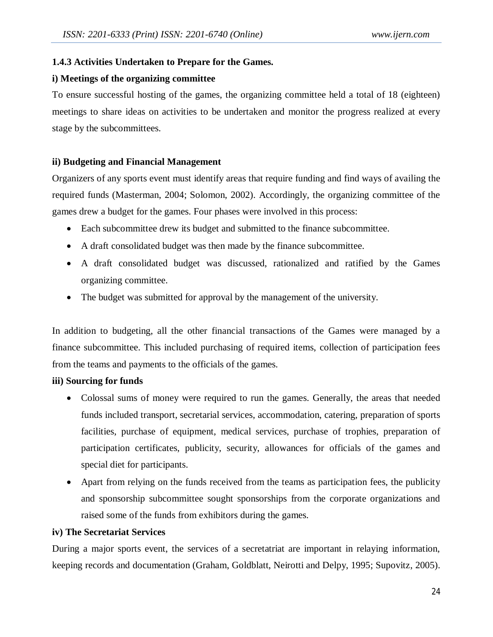# **1.4.3 Activities Undertaken to Prepare for the Games.**

## **i) Meetings of the organizing committee**

To ensure successful hosting of the games, the organizing committee held a total of 18 (eighteen) meetings to share ideas on activities to be undertaken and monitor the progress realized at every stage by the subcommittees.

# **ii) Budgeting and Financial Management**

Organizers of any sports event must identify areas that require funding and find ways of availing the required funds (Masterman, 2004; Solomon, 2002). Accordingly, the organizing committee of the games drew a budget for the games. Four phases were involved in this process:

- Each subcommittee drew its budget and submitted to the finance subcommittee.
- A draft consolidated budget was then made by the finance subcommittee.
- A draft consolidated budget was discussed, rationalized and ratified by the Games organizing committee.
- The budget was submitted for approval by the management of the university.

In addition to budgeting, all the other financial transactions of the Games were managed by a finance subcommittee. This included purchasing of required items, collection of participation fees from the teams and payments to the officials of the games.

# **iii) Sourcing for funds**

- Colossal sums of money were required to run the games. Generally, the areas that needed funds included transport, secretarial services, accommodation, catering, preparation of sports facilities, purchase of equipment, medical services, purchase of trophies, preparation of participation certificates, publicity, security, allowances for officials of the games and special diet for participants.
- Apart from relying on the funds received from the teams as participation fees, the publicity and sponsorship subcommittee sought sponsorships from the corporate organizations and raised some of the funds from exhibitors during the games.

## **iv) The Secretariat Services**

During a major sports event, the services of a secretatriat are important in relaying information, keeping records and documentation (Graham, Goldblatt, Neirotti and Delpy, 1995; Supovitz, 2005).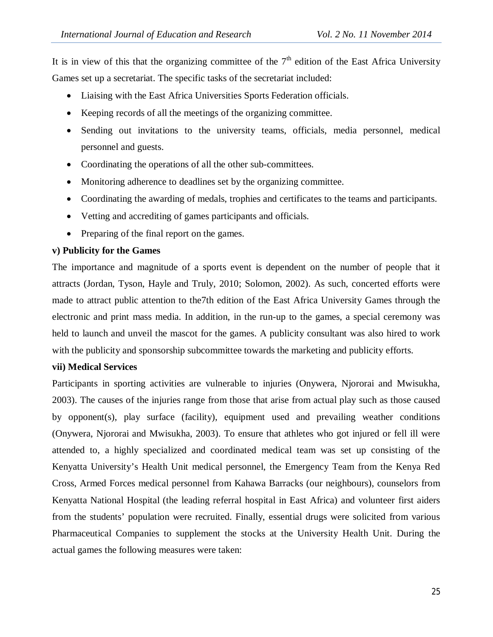It is in view of this that the organizing committee of the  $7<sup>th</sup>$  edition of the East Africa University Games set up a secretariat. The specific tasks of the secretariat included:

- Liaising with the East Africa Universities Sports Federation officials.
- Keeping records of all the meetings of the organizing committee.
- Sending out invitations to the university teams, officials, media personnel, medical personnel and guests.
- Coordinating the operations of all the other sub-committees.
- Monitoring adherence to deadlines set by the organizing committee.
- Coordinating the awarding of medals, trophies and certificates to the teams and participants.
- Vetting and accrediting of games participants and officials.
- Preparing of the final report on the games.

## **v) Publicity for the Games**

The importance and magnitude of a sports event is dependent on the number of people that it attracts (Jordan, Tyson, Hayle and Truly, 2010; Solomon, 2002). As such, concerted efforts were made to attract public attention to the7th edition of the East Africa University Games through the electronic and print mass media. In addition, in the run-up to the games, a special ceremony was held to launch and unveil the mascot for the games. A publicity consultant was also hired to work with the publicity and sponsorship subcommittee towards the marketing and publicity efforts.

## **vii) Medical Services**

Participants in sporting activities are vulnerable to injuries (Onywera, Njororai and Mwisukha, 2003). The causes of the injuries range from those that arise from actual play such as those caused by opponent(s), play surface (facility), equipment used and prevailing weather conditions (Onywera, Njororai and Mwisukha, 2003). To ensure that athletes who got injured or fell ill were attended to, a highly specialized and coordinated medical team was set up consisting of the Kenyatta University's Health Unit medical personnel, the Emergency Team from the Kenya Red Cross, Armed Forces medical personnel from Kahawa Barracks (our neighbours), counselors from Kenyatta National Hospital (the leading referral hospital in East Africa) and volunteer first aiders from the students' population were recruited. Finally, essential drugs were solicited from various Pharmaceutical Companies to supplement the stocks at the University Health Unit. During the actual games the following measures were taken: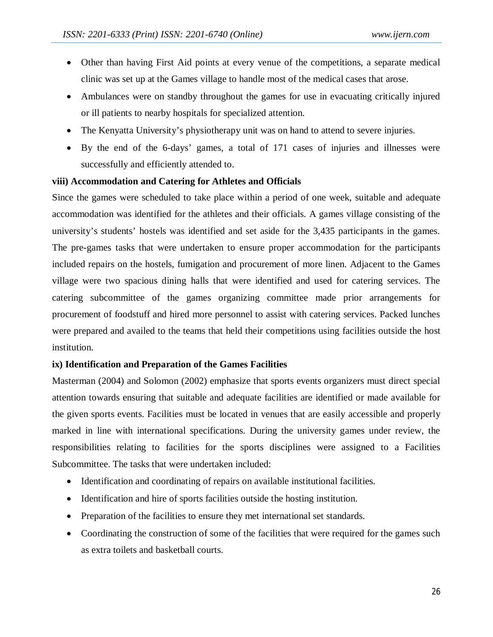- Other than having First Aid points at every venue of the competitions, a separate medical clinic was set up at the Games village to handle most of the medical cases that arose.
- Ambulances were on standby throughout the games for use in evacuating critically injured or ill patients to nearby hospitals for specialized attention.
- The Kenyatta University's physiotherapy unit was on hand to attend to severe injuries.
- By the end of the 6-days' games, a total of 171 cases of injuries and illnesses were successfully and efficiently attended to.

## **viii) Accommodation and Catering for Athletes and Officials**

Since the games were scheduled to take place within a period of one week, suitable and adequate accommodation was identified for the athletes and their officials. A games village consisting of the university's students' hostels was identified and set aside for the 3,435 participants in the games. The pre-games tasks that were undertaken to ensure proper accommodation for the participants included repairs on the hostels, fumigation and procurement of more linen. Adjacent to the Games village were two spacious dining halls that were identified and used for catering services. The catering subcommittee of the games organizing committee made prior arrangements for procurement of foodstuff and hired more personnel to assist with catering services. Packed lunches were prepared and availed to the teams that held their competitions using facilities outside the host institution.

# **ix) Identification and Preparation of the Games Facilities**

Masterman (2004) and Solomon (2002) emphasize that sports events organizers must direct special attention towards ensuring that suitable and adequate facilities are identified or made available for the given sports events. Facilities must be located in venues that are easily accessible and properly marked in line with international specifications. During the university games under review, the responsibilities relating to facilities for the sports disciplines were assigned to a Facilities Subcommittee. The tasks that were undertaken included:

- Identification and coordinating of repairs on available institutional facilities.
- Identification and hire of sports facilities outside the hosting institution.
- Preparation of the facilities to ensure they met international set standards.
- Coordinating the construction of some of the facilities that were required for the games such as extra toilets and basketball courts.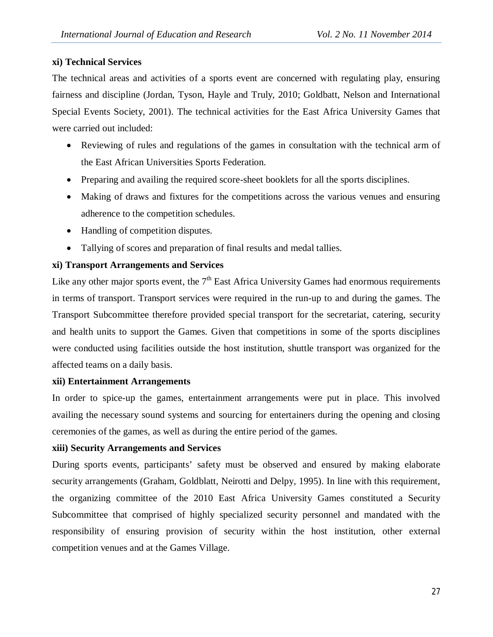## **xi) Technical Services**

The technical areas and activities of a sports event are concerned with regulating play, ensuring fairness and discipline (Jordan, Tyson, Hayle and Truly, 2010; Goldbatt, Nelson and International Special Events Society, 2001). The technical activities for the East Africa University Games that were carried out included:

- Reviewing of rules and regulations of the games in consultation with the technical arm of the East African Universities Sports Federation.
- Preparing and availing the required score-sheet booklets for all the sports disciplines.
- Making of draws and fixtures for the competitions across the various venues and ensuring adherence to the competition schedules.
- Handling of competition disputes.
- Tallying of scores and preparation of final results and medal tallies.

# **xi) Transport Arrangements and Services**

Like any other major sports event, the  $7<sup>th</sup>$  East Africa University Games had enormous requirements in terms of transport. Transport services were required in the run-up to and during the games. The Transport Subcommittee therefore provided special transport for the secretariat, catering, security and health units to support the Games. Given that competitions in some of the sports disciplines were conducted using facilities outside the host institution, shuttle transport was organized for the affected teams on a daily basis.

## **xii) Entertainment Arrangements**

In order to spice-up the games, entertainment arrangements were put in place. This involved availing the necessary sound systems and sourcing for entertainers during the opening and closing ceremonies of the games, as well as during the entire period of the games.

# **xiii) Security Arrangements and Services**

During sports events, participants' safety must be observed and ensured by making elaborate security arrangements (Graham, Goldblatt, Neirotti and Delpy, 1995). In line with this requirement, the organizing committee of the 2010 East Africa University Games constituted a Security Subcommittee that comprised of highly specialized security personnel and mandated with the responsibility of ensuring provision of security within the host institution, other external competition venues and at the Games Village.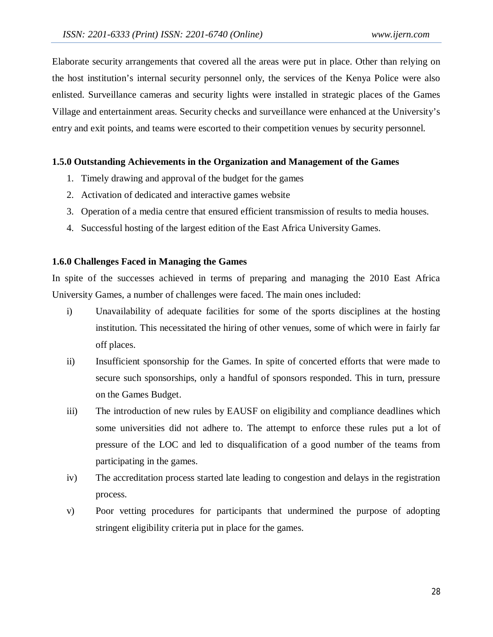Elaborate security arrangements that covered all the areas were put in place. Other than relying on the host institution's internal security personnel only, the services of the Kenya Police were also enlisted. Surveillance cameras and security lights were installed in strategic places of the Games Village and entertainment areas. Security checks and surveillance were enhanced at the University's entry and exit points, and teams were escorted to their competition venues by security personnel.

## **1.5.0 Outstanding Achievements in the Organization and Management of the Games**

- 1. Timely drawing and approval of the budget for the games
- 2. Activation of dedicated and interactive games website
- 3. Operation of a media centre that ensured efficient transmission of results to media houses.
- 4. Successful hosting of the largest edition of the East Africa University Games.

## **1.6.0 Challenges Faced in Managing the Games**

In spite of the successes achieved in terms of preparing and managing the 2010 East Africa University Games, a number of challenges were faced. The main ones included:

- i) Unavailability of adequate facilities for some of the sports disciplines at the hosting institution. This necessitated the hiring of other venues, some of which were in fairly far off places.
- ii) Insufficient sponsorship for the Games. In spite of concerted efforts that were made to secure such sponsorships, only a handful of sponsors responded. This in turn, pressure on the Games Budget.
- iii) The introduction of new rules by EAUSF on eligibility and compliance deadlines which some universities did not adhere to. The attempt to enforce these rules put a lot of pressure of the LOC and led to disqualification of a good number of the teams from participating in the games.
- iv) The accreditation process started late leading to congestion and delays in the registration process.
- v) Poor vetting procedures for participants that undermined the purpose of adopting stringent eligibility criteria put in place for the games.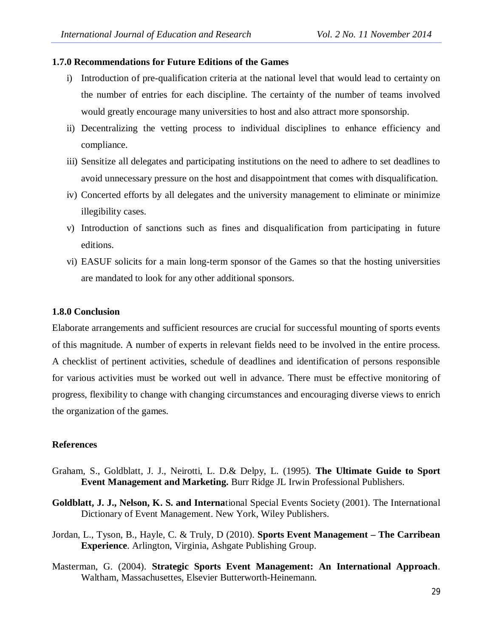#### **1.7.0 Recommendations for Future Editions of the Games**

- i) Introduction of pre-qualification criteria at the national level that would lead to certainty on the number of entries for each discipline. The certainty of the number of teams involved would greatly encourage many universities to host and also attract more sponsorship.
- ii) Decentralizing the vetting process to individual disciplines to enhance efficiency and compliance.
- iii) Sensitize all delegates and participating institutions on the need to adhere to set deadlines to avoid unnecessary pressure on the host and disappointment that comes with disqualification.
- iv) Concerted efforts by all delegates and the university management to eliminate or minimize illegibility cases.
- v) Introduction of sanctions such as fines and disqualification from participating in future editions.
- vi) EASUF solicits for a main long-term sponsor of the Games so that the hosting universities are mandated to look for any other additional sponsors.

## **1.8.0 Conclusion**

Elaborate arrangements and sufficient resources are crucial for successful mounting of sports events of this magnitude. A number of experts in relevant fields need to be involved in the entire process. A checklist of pertinent activities, schedule of deadlines and identification of persons responsible for various activities must be worked out well in advance. There must be effective monitoring of progress, flexibility to change with changing circumstances and encouraging diverse views to enrich the organization of the games.

#### **References**

- Graham, S., Goldblatt, J. J., Neirotti, L. D.& Delpy, L. (1995). **The Ultimate Guide to Sport Event Management and Marketing.** Burr Ridge JL Irwin Professional Publishers.
- **Goldblatt, J. J., Nelson, K. S. and Interna**tional Special Events Society (2001). The International Dictionary of Event Management. New York, Wiley Publishers.
- Jordan, L., Tyson, B., Hayle, C. & Truly, D (2010). **Sports Event Management – The Carribean Experience**. Arlington, Virginia, Ashgate Publishing Group.
- Masterman, G. (2004). **Strategic Sports Event Management: An International Approach**. Waltham, Massachusettes, Elsevier Butterworth-Heinemann.